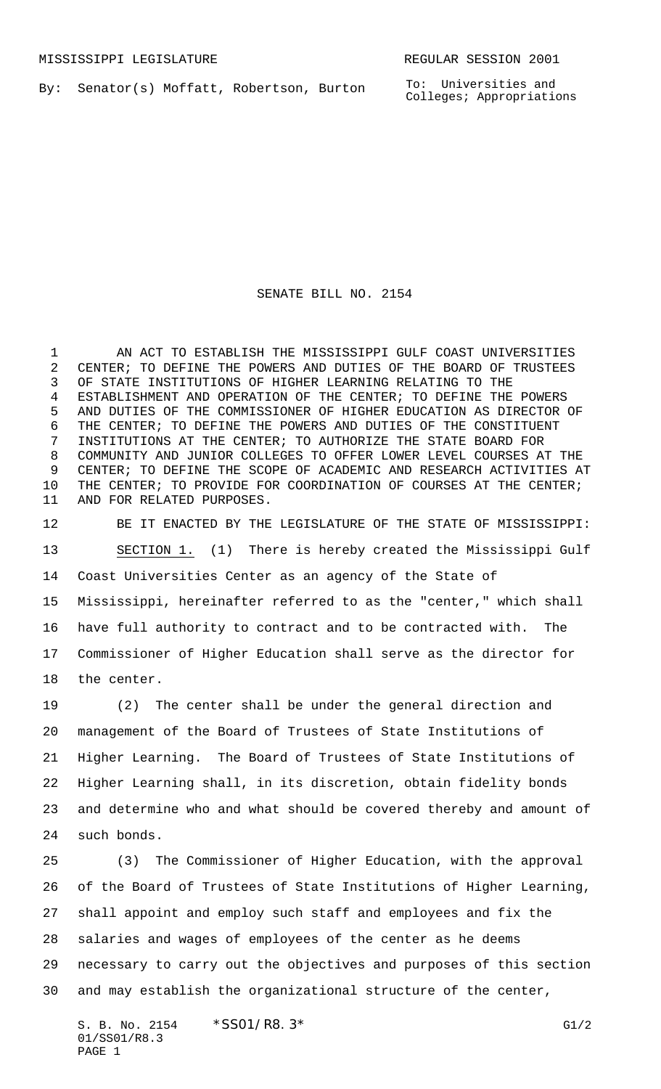By: Senator(s) Moffatt, Robertson, Burton

To: Universities and Colleges; Appropriations

## SENATE BILL NO. 2154

 AN ACT TO ESTABLISH THE MISSISSIPPI GULF COAST UNIVERSITIES CENTER; TO DEFINE THE POWERS AND DUTIES OF THE BOARD OF TRUSTEES OF STATE INSTITUTIONS OF HIGHER LEARNING RELATING TO THE ESTABLISHMENT AND OPERATION OF THE CENTER; TO DEFINE THE POWERS AND DUTIES OF THE COMMISSIONER OF HIGHER EDUCATION AS DIRECTOR OF THE CENTER; TO DEFINE THE POWERS AND DUTIES OF THE CONSTITUENT INSTITUTIONS AT THE CENTER; TO AUTHORIZE THE STATE BOARD FOR COMMUNITY AND JUNIOR COLLEGES TO OFFER LOWER LEVEL COURSES AT THE CENTER; TO DEFINE THE SCOPE OF ACADEMIC AND RESEARCH ACTIVITIES AT THE CENTER; TO PROVIDE FOR COORDINATION OF COURSES AT THE CENTER; AND FOR RELATED PURPOSES.

 BE IT ENACTED BY THE LEGISLATURE OF THE STATE OF MISSISSIPPI: SECTION 1. (1) There is hereby created the Mississippi Gulf Coast Universities Center as an agency of the State of Mississippi, hereinafter referred to as the "center," which shall have full authority to contract and to be contracted with. The Commissioner of Higher Education shall serve as the director for the center.

 (2) The center shall be under the general direction and management of the Board of Trustees of State Institutions of Higher Learning. The Board of Trustees of State Institutions of Higher Learning shall, in its discretion, obtain fidelity bonds and determine who and what should be covered thereby and amount of such bonds.

 (3) The Commissioner of Higher Education, with the approval of the Board of Trustees of State Institutions of Higher Learning, shall appoint and employ such staff and employees and fix the salaries and wages of employees of the center as he deems necessary to carry out the objectives and purposes of this section and may establish the organizational structure of the center,

S. B. No. 2154  $*$  SS01/R8. 3\* G1/2 01/SS01/R8.3 PAGE 1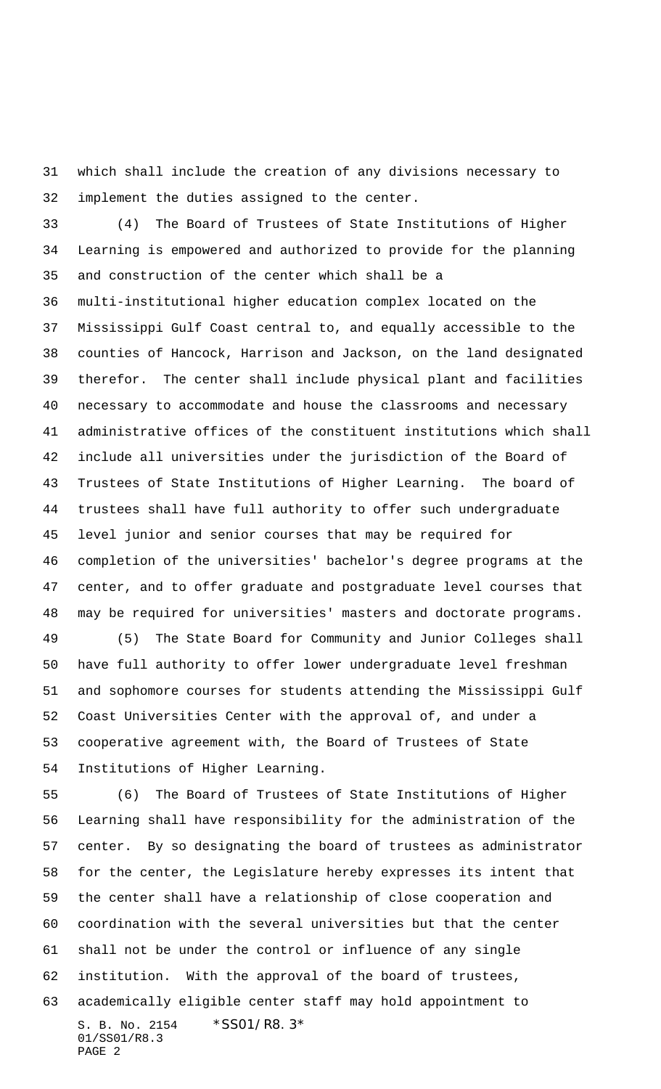which shall include the creation of any divisions necessary to implement the duties assigned to the center.

 (4) The Board of Trustees of State Institutions of Higher Learning is empowered and authorized to provide for the planning and construction of the center which shall be a multi-institutional higher education complex located on the Mississippi Gulf Coast central to, and equally accessible to the counties of Hancock, Harrison and Jackson, on the land designated therefor. The center shall include physical plant and facilities necessary to accommodate and house the classrooms and necessary administrative offices of the constituent institutions which shall include all universities under the jurisdiction of the Board of Trustees of State Institutions of Higher Learning. The board of trustees shall have full authority to offer such undergraduate level junior and senior courses that may be required for completion of the universities' bachelor's degree programs at the center, and to offer graduate and postgraduate level courses that may be required for universities' masters and doctorate programs. (5) The State Board for Community and Junior Colleges shall have full authority to offer lower undergraduate level freshman and sophomore courses for students attending the Mississippi Gulf Coast Universities Center with the approval of, and under a

 cooperative agreement with, the Board of Trustees of State Institutions of Higher Learning.

S. B. No. 2154 \* SS01/R8.3\* 01/SS01/R8.3 PAGE 2 (6) The Board of Trustees of State Institutions of Higher Learning shall have responsibility for the administration of the center. By so designating the board of trustees as administrator for the center, the Legislature hereby expresses its intent that the center shall have a relationship of close cooperation and coordination with the several universities but that the center shall not be under the control or influence of any single institution. With the approval of the board of trustees, academically eligible center staff may hold appointment to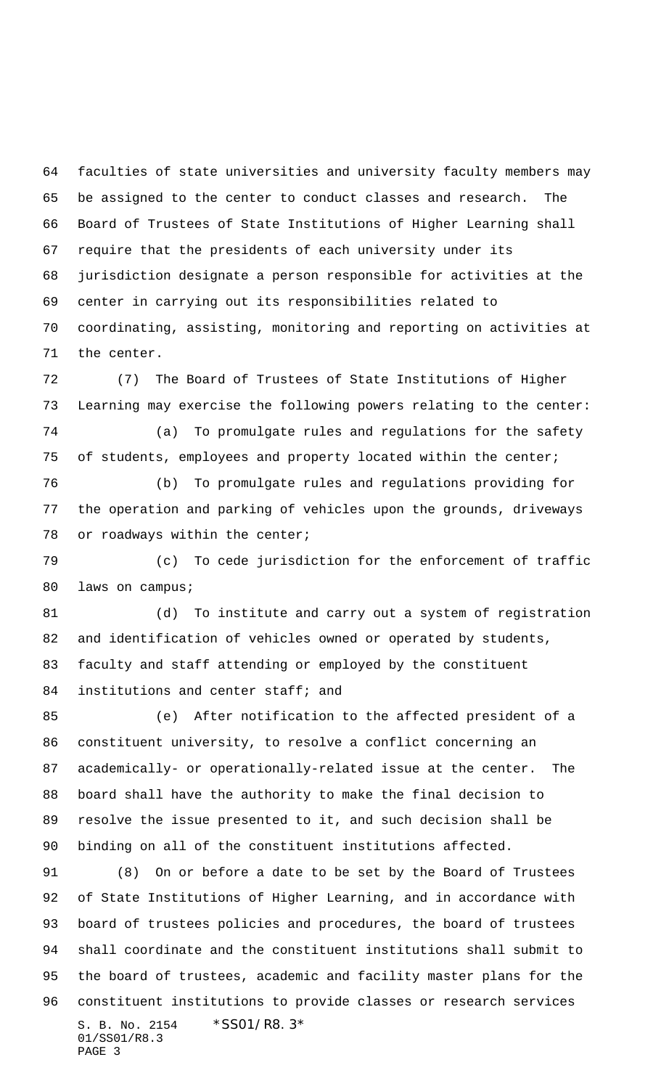faculties of state universities and university faculty members may be assigned to the center to conduct classes and research. The Board of Trustees of State Institutions of Higher Learning shall require that the presidents of each university under its jurisdiction designate a person responsible for activities at the center in carrying out its responsibilities related to coordinating, assisting, monitoring and reporting on activities at the center.

 (7) The Board of Trustees of State Institutions of Higher Learning may exercise the following powers relating to the center:

 (a) To promulgate rules and regulations for the safety of students, employees and property located within the center;

 (b) To promulgate rules and regulations providing for the operation and parking of vehicles upon the grounds, driveways 78 or roadways within the center;

 (c) To cede jurisdiction for the enforcement of traffic 80 laws on campus;

 (d) To institute and carry out a system of registration and identification of vehicles owned or operated by students, faculty and staff attending or employed by the constituent 84 institutions and center staff; and

 (e) After notification to the affected president of a constituent university, to resolve a conflict concerning an academically- or operationally-related issue at the center. The board shall have the authority to make the final decision to resolve the issue presented to it, and such decision shall be binding on all of the constituent institutions affected.

S. B. No. 2154 \*SS01/R8.3\* 01/SS01/R8.3 PAGE 3 (8) On or before a date to be set by the Board of Trustees of State Institutions of Higher Learning, and in accordance with board of trustees policies and procedures, the board of trustees shall coordinate and the constituent institutions shall submit to the board of trustees, academic and facility master plans for the constituent institutions to provide classes or research services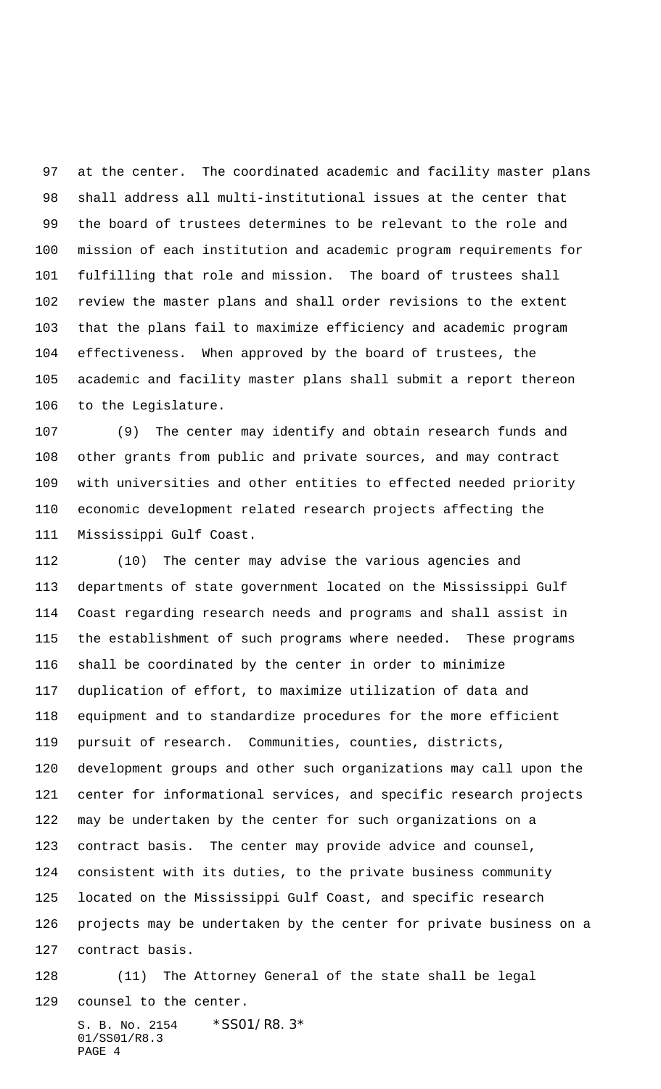at the center. The coordinated academic and facility master plans shall address all multi-institutional issues at the center that the board of trustees determines to be relevant to the role and mission of each institution and academic program requirements for fulfilling that role and mission. The board of trustees shall review the master plans and shall order revisions to the extent that the plans fail to maximize efficiency and academic program effectiveness. When approved by the board of trustees, the academic and facility master plans shall submit a report thereon to the Legislature.

 (9) The center may identify and obtain research funds and other grants from public and private sources, and may contract with universities and other entities to effected needed priority economic development related research projects affecting the Mississippi Gulf Coast.

 (10) The center may advise the various agencies and departments of state government located on the Mississippi Gulf Coast regarding research needs and programs and shall assist in the establishment of such programs where needed. These programs shall be coordinated by the center in order to minimize duplication of effort, to maximize utilization of data and equipment and to standardize procedures for the more efficient pursuit of research. Communities, counties, districts, development groups and other such organizations may call upon the center for informational services, and specific research projects may be undertaken by the center for such organizations on a contract basis. The center may provide advice and counsel, consistent with its duties, to the private business community located on the Mississippi Gulf Coast, and specific research projects may be undertaken by the center for private business on a contract basis.

 (11) The Attorney General of the state shall be legal counsel to the center.

S. B. No. 2154 \* SS01/R8.3\* 01/SS01/R8.3 PAGE 4